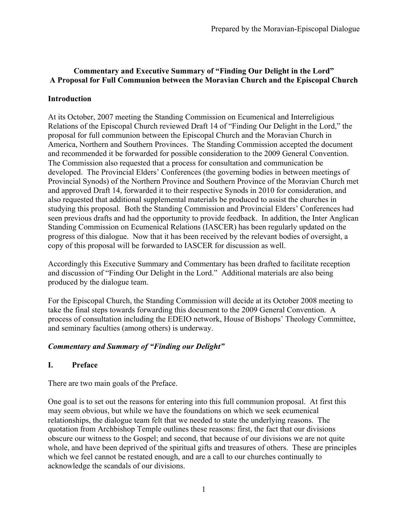# **Commentary and Executive Summary of "Finding Our Delight in the Lord" A Proposal for Full Communion between the Moravian Church and the Episcopal Church**

## **Introduction**

At its October, 2007 meeting the Standing Commission on Ecumenical and Interreligious Relations of the Episcopal Church reviewed Draft 14 of "Finding Our Delight in the Lord," the proposal for full communion between the Episcopal Church and the Moravian Church in America, Northern and Southern Provinces. The Standing Commission accepted the document and recommended it be forwarded for possible consideration to the 2009 General Convention. The Commission also requested that a process for consultation and communication be developed. The Provincial Elders' Conferences (the governing bodies in between meetings of Provincial Synods) of the Northern Province and Southern Province of the Moravian Church met and approved Draft 14, forwarded it to their respective Synods in 2010 for consideration, and also requested that additional supplemental materials be produced to assist the churches in studying this proposal. Both the Standing Commission and Provincial Elders' Conferences had seen previous drafts and had the opportunity to provide feedback. In addition, the Inter Anglican Standing Commission on Ecumenical Relations (IASCER) has been regularly updated on the progress of this dialogue. Now that it has been received by the relevant bodies of oversight, a copy of this proposal will be forwarded to IASCER for discussion as well.

Accordingly this Executive Summary and Commentary has been drafted to facilitate reception and discussion of "Finding Our Delight in the Lord." Additional materials are also being produced by the dialogue team.

For the Episcopal Church, the Standing Commission will decide at its October 2008 meeting to take the final steps towards forwarding this document to the 2009 General Convention. A process of consultation including the EDEIO network, House of Bishops' Theology Committee, and seminary faculties (among others) is underway.

## *Commentary and Summary of "Finding our Delight"*

#### **I. Preface**

There are two main goals of the Preface.

One goal is to set out the reasons for entering into this full communion proposal. At first this may seem obvious, but while we have the foundations on which we seek ecumenical relationships, the dialogue team felt that we needed to state the underlying reasons. The quotation from Archbishop Temple outlines these reasons: first, the fact that our divisions obscure our witness to the Gospel; and second, that because of our divisions we are not quite whole, and have been deprived of the spiritual gifts and treasures of others. These are principles which we feel cannot be restated enough, and are a call to our churches continually to acknowledge the scandals of our divisions.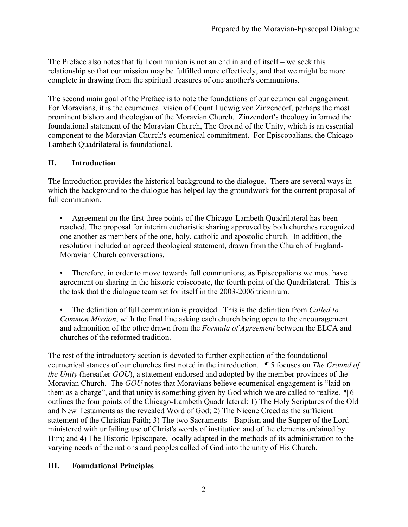The Preface also notes that full communion is not an end in and of itself – we seek this relationship so that our mission may be fulfilled more effectively, and that we might be more complete in drawing from the spiritual treasures of one another's communions.

The second main goal of the Preface is to note the foundations of our ecumenical engagement. For Moravians, it is the ecumenical vision of Count Ludwig von Zinzendorf, perhaps the most prominent bishop and theologian of the Moravian Church. Zinzendorf's theology informed the foundational statement of the Moravian Church, The Ground of the Unity, which is an essential component to the Moravian Church's ecumenical commitment. For Episcopalians, the Chicago-Lambeth Quadrilateral is foundational.

### **II. Introduction**

The Introduction provides the historical background to the dialogue. There are several ways in which the background to the dialogue has helped lay the groundwork for the current proposal of full communion.

- Agreement on the first three points of the Chicago-Lambeth Quadrilateral has been reached. The proposal for interim eucharistic sharing approved by both churches recognized one another as members of the one, holy, catholic and apostolic church. In addition, the resolution included an agreed theological statement, drawn from the Church of England-Moravian Church conversations.
- Therefore, in order to move towards full communions, as Episcopalians we must have agreement on sharing in the historic episcopate, the fourth point of the Quadrilateral. This is the task that the dialogue team set for itself in the 2003-2006 triennium.
- The definition of full communion is provided. This is the definition from *Called to Common Mission*, with the final line asking each church being open to the encouragement and admonition of the other drawn from the *Formula of Agreement* between the ELCA and churches of the reformed tradition.

The rest of the introductory section is devoted to further explication of the foundational ecumenical stances of our churches first noted in the introduction. ¶ 5 focuses on *The Ground of the Unity* (hereafter *GOU*), a statement endorsed and adopted by the member provinces of the Moravian Church. The *GOU* notes that Moravians believe ecumenical engagement is "laid on them as a charge", and that unity is something given by God which we are called to realize. ¶ 6 outlines the four points of the Chicago-Lambeth Quadrilateral: 1) The Holy Scriptures of the Old and New Testaments as the revealed Word of God; 2) The Nicene Creed as the sufficient statement of the Christian Faith; 3) The two Sacraments --Baptism and the Supper of the Lord - ministered with unfailing use of Christ's words of institution and of the elements ordained by Him; and 4) The Historic Episcopate, locally adapted in the methods of its administration to the varying needs of the nations and peoples called of God into the unity of His Church.

#### **III. Foundational Principles**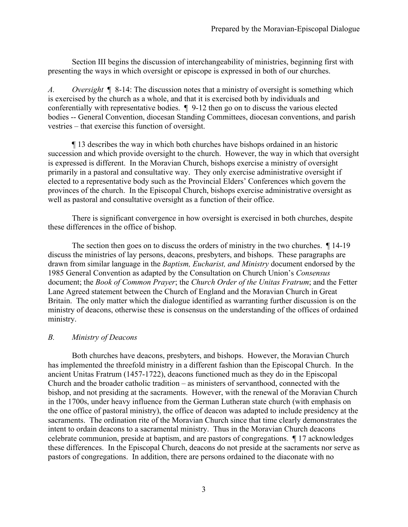Section III begins the discussion of interchangeability of ministries, beginning first with presenting the ways in which oversight or episcope is expressed in both of our churches.

*A. Oversight* ¶ 8-14: The discussion notes that a ministry of oversight is something which is exercised by the church as a whole, and that it is exercised both by individuals and conferentially with representative bodies. ¶ 9-12 then go on to discuss the various elected bodies -- General Convention, diocesan Standing Committees, diocesan conventions, and parish vestries – that exercise this function of oversight.

¶ 13 describes the way in which both churches have bishops ordained in an historic succession and which provide oversight to the church. However, the way in which that oversight is expressed is different. In the Moravian Church, bishops exercise a ministry of oversight primarily in a pastoral and consultative way. They only exercise administrative oversight if elected to a representative body such as the Provincial Elders' Conferences which govern the provinces of the church. In the Episcopal Church, bishops exercise administrative oversight as well as pastoral and consultative oversight as a function of their office.

There is significant convergence in how oversight is exercised in both churches, despite these differences in the office of bishop.

The section then goes on to discuss the orders of ministry in the two churches.  $\int$  14-19 discuss the ministries of lay persons, deacons, presbyters, and bishops. These paragraphs are drawn from similar language in the *Baptism, Eucharist, and Ministry* document endorsed by the 1985 General Convention as adapted by the Consultation on Church Union's *Consensus* document; the *Book of Common Prayer*; the *Church Order of the Unitas Fratrum*; and the Fetter Lane Agreed statement between the Church of England and the Moravian Church in Great Britain. The only matter which the dialogue identified as warranting further discussion is on the ministry of deacons, otherwise these is consensus on the understanding of the offices of ordained ministry.

#### *B. Ministry of Deacons*

Both churches have deacons, presbyters, and bishops. However, the Moravian Church has implemented the threefold ministry in a different fashion than the Episcopal Church. In the ancient Unitas Fratrum (1457-1722), deacons functioned much as they do in the Episcopal Church and the broader catholic tradition – as ministers of servanthood, connected with the bishop, and not presiding at the sacraments. However, with the renewal of the Moravian Church in the 1700s, under heavy influence from the German Lutheran state church (with emphasis on the one office of pastoral ministry), the office of deacon was adapted to include presidency at the sacraments. The ordination rite of the Moravian Church since that time clearly demonstrates the intent to ordain deacons to a sacramental ministry. Thus in the Moravian Church deacons celebrate communion, preside at baptism, and are pastors of congregations. ¶ 17 acknowledges these differences. In the Episcopal Church, deacons do not preside at the sacraments nor serve as pastors of congregations. In addition, there are persons ordained to the diaconate with no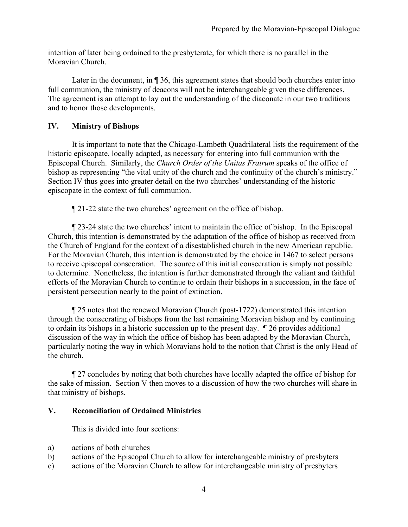intention of later being ordained to the presbyterate, for which there is no parallel in the Moravian Church.

Later in the document, in  $\P$  36, this agreement states that should both churches enter into full communion, the ministry of deacons will not be interchangeable given these differences. The agreement is an attempt to lay out the understanding of the diaconate in our two traditions and to honor those developments.

### **IV. Ministry of Bishops**

It is important to note that the Chicago-Lambeth Quadrilateral lists the requirement of the historic episcopate, locally adapted, as necessary for entering into full communion with the Episcopal Church. Similarly, the *Church Order of the Unitas Fratrum* speaks of the office of bishop as representing "the vital unity of the church and the continuity of the church's ministry." Section IV thus goes into greater detail on the two churches' understanding of the historic episcopate in the context of full communion.

¶ 21-22 state the two churches' agreement on the office of bishop.

¶ 23-24 state the two churches' intent to maintain the office of bishop. In the Episcopal Church, this intention is demonstrated by the adaptation of the office of bishop as received from the Church of England for the context of a disestablished church in the new American republic. For the Moravian Church, this intention is demonstrated by the choice in 1467 to select persons to receive episcopal consecration. The source of this initial consecration is simply not possible to determine. Nonetheless, the intention is further demonstrated through the valiant and faithful efforts of the Moravian Church to continue to ordain their bishops in a succession, in the face of persistent persecution nearly to the point of extinction.

¶ 25 notes that the renewed Moravian Church (post-1722) demonstrated this intention through the consecrating of bishops from the last remaining Moravian bishop and by continuing to ordain its bishops in a historic succession up to the present day. ¶ 26 provides additional discussion of the way in which the office of bishop has been adapted by the Moravian Church, particularly noting the way in which Moravians hold to the notion that Christ is the only Head of the church.

¶ 27 concludes by noting that both churches have locally adapted the office of bishop for the sake of mission. Section V then moves to a discussion of how the two churches will share in that ministry of bishops.

#### **V. Reconciliation of Ordained Ministries**

This is divided into four sections:

- a) actions of both churches
- b) actions of the Episcopal Church to allow for interchangeable ministry of presbyters
- c) actions of the Moravian Church to allow for interchangeable ministry of presbyters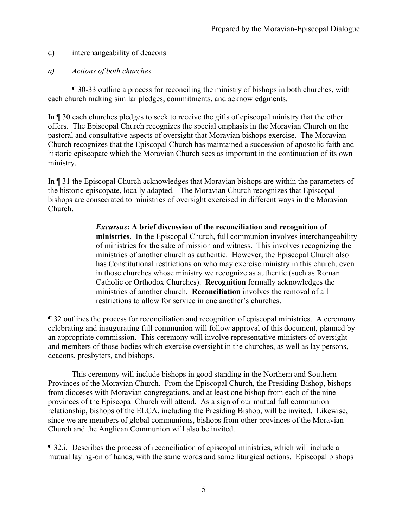- d) interchangeability of deacons
- *a) Actions of both churches*

¶ 30-33 outline a process for reconciling the ministry of bishops in both churches, with each church making similar pledges, commitments, and acknowledgments.

In ¶ 30 each churches pledges to seek to receive the gifts of episcopal ministry that the other offers. The Episcopal Church recognizes the special emphasis in the Moravian Church on the pastoral and consultative aspects of oversight that Moravian bishops exercise. The Moravian Church recognizes that the Episcopal Church has maintained a succession of apostolic faith and historic episcopate which the Moravian Church sees as important in the continuation of its own ministry.

In ¶ 31 the Episcopal Church acknowledges that Moravian bishops are within the parameters of the historic episcopate, locally adapted. The Moravian Church recognizes that Episcopal bishops are consecrated to ministries of oversight exercised in different ways in the Moravian Church.

> *Excursus***: A brief discussion of the reconciliation and recognition of ministries**. In the Episcopal Church, full communion involves interchangeability of ministries for the sake of mission and witness. This involves recognizing the ministries of another church as authentic. However, the Episcopal Church also has Constitutional restrictions on who may exercise ministry in this church, even in those churches whose ministry we recognize as authentic (such as Roman Catholic or Orthodox Churches). **Recognition** formally acknowledges the ministries of another church. **Reconciliation** involves the removal of all restrictions to allow for service in one another's churches.

¶ 32 outlines the process for reconciliation and recognition of episcopal ministries. A ceremony celebrating and inaugurating full communion will follow approval of this document, planned by an appropriate commission. This ceremony will involve representative ministers of oversight and members of those bodies which exercise oversight in the churches, as well as lay persons, deacons, presbyters, and bishops.

This ceremony will include bishops in good standing in the Northern and Southern Provinces of the Moravian Church. From the Episcopal Church, the Presiding Bishop, bishops from dioceses with Moravian congregations, and at least one bishop from each of the nine provinces of the Episcopal Church will attend. As a sign of our mutual full communion relationship, bishops of the ELCA, including the Presiding Bishop, will be invited. Likewise, since we are members of global communions, bishops from other provinces of the Moravian Church and the Anglican Communion will also be invited.

¶ 32.i. Describes the process of reconciliation of episcopal ministries, which will include a mutual laying-on of hands, with the same words and same liturgical actions. Episcopal bishops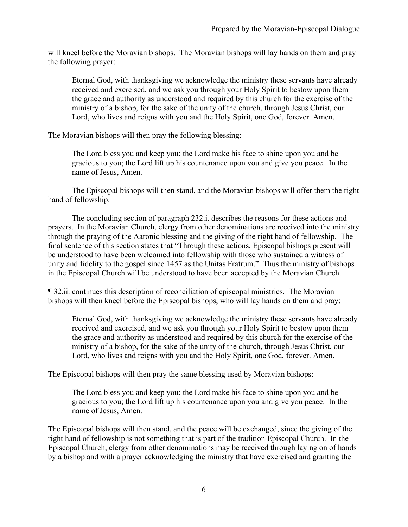will kneel before the Moravian bishops. The Moravian bishops will lay hands on them and pray the following prayer:

Eternal God, with thanksgiving we acknowledge the ministry these servants have already received and exercised, and we ask you through your Holy Spirit to bestow upon them the grace and authority as understood and required by this church for the exercise of the ministry of a bishop, for the sake of the unity of the church, through Jesus Christ, our Lord, who lives and reigns with you and the Holy Spirit, one God, forever. Amen.

The Moravian bishops will then pray the following blessing:

The Lord bless you and keep you; the Lord make his face to shine upon you and be gracious to you; the Lord lift up his countenance upon you and give you peace. In the name of Jesus, Amen.

The Episcopal bishops will then stand, and the Moravian bishops will offer them the right hand of fellowship.

The concluding section of paragraph 232.i. describes the reasons for these actions and prayers. In the Moravian Church, clergy from other denominations are received into the ministry through the praying of the Aaronic blessing and the giving of the right hand of fellowship. The final sentence of this section states that "Through these actions, Episcopal bishops present will be understood to have been welcomed into fellowship with those who sustained a witness of unity and fidelity to the gospel since 1457 as the Unitas Fratrum." Thus the ministry of bishops in the Episcopal Church will be understood to have been accepted by the Moravian Church.

¶ 32.ii. continues this description of reconciliation of episcopal ministries. The Moravian bishops will then kneel before the Episcopal bishops, who will lay hands on them and pray:

Eternal God, with thanksgiving we acknowledge the ministry these servants have already received and exercised, and we ask you through your Holy Spirit to bestow upon them the grace and authority as understood and required by this church for the exercise of the ministry of a bishop, for the sake of the unity of the church, through Jesus Christ, our Lord, who lives and reigns with you and the Holy Spirit, one God, forever. Amen.

The Episcopal bishops will then pray the same blessing used by Moravian bishops:

The Lord bless you and keep you; the Lord make his face to shine upon you and be gracious to you; the Lord lift up his countenance upon you and give you peace. In the name of Jesus, Amen.

The Episcopal bishops will then stand, and the peace will be exchanged, since the giving of the right hand of fellowship is not something that is part of the tradition Episcopal Church. In the Episcopal Church, clergy from other denominations may be received through laying on of hands by a bishop and with a prayer acknowledging the ministry that have exercised and granting the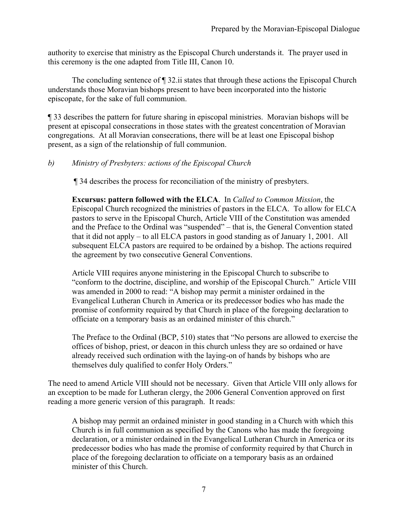authority to exercise that ministry as the Episcopal Church understands it. The prayer used in this ceremony is the one adapted from Title III, Canon 10.

The concluding sentence of ¶ 32.ii states that through these actions the Episcopal Church understands those Moravian bishops present to have been incorporated into the historic episcopate, for the sake of full communion.

¶ 33 describes the pattern for future sharing in episcopal ministries. Moravian bishops will be present at episcopal consecrations in those states with the greatest concentration of Moravian congregations. At all Moravian consecrations, there will be at least one Episcopal bishop present, as a sign of the relationship of full communion.

#### *b) Ministry of Presbyters: actions of the Episcopal Church*

¶ 34 describes the process for reconciliation of the ministry of presbyters.

**Excursus: pattern followed with the ELCA**. In *Called to Common Mission*, the Episcopal Church recognized the ministries of pastors in the ELCA. To allow for ELCA pastors to serve in the Episcopal Church, Article VIII of the Constitution was amended and the Preface to the Ordinal was "suspended" – that is, the General Convention stated that it did not apply – to all ELCA pastors in good standing as of January 1, 2001. All subsequent ELCA pastors are required to be ordained by a bishop. The actions required the agreement by two consecutive General Conventions.

Article VIII requires anyone ministering in the Episcopal Church to subscribe to "conform to the doctrine, discipline, and worship of the Episcopal Church." Article VIII was amended in 2000 to read: "A bishop may permit a minister ordained in the Evangelical Lutheran Church in America or its predecessor bodies who has made the promise of conformity required by that Church in place of the foregoing declaration to officiate on a temporary basis as an ordained minister of this church."

The Preface to the Ordinal (BCP, 510) states that "No persons are allowed to exercise the offices of bishop, priest, or deacon in this church unless they are so ordained or have already received such ordination with the laying-on of hands by bishops who are themselves duly qualified to confer Holy Orders."

The need to amend Article VIII should not be necessary. Given that Article VIII only allows for an exception to be made for Lutheran clergy, the 2006 General Convention approved on first reading a more generic version of this paragraph. It reads:

A bishop may permit an ordained minister in good standing in a Church with which this Church is in full communion as specified by the Canons who has made the foregoing declaration, or a minister ordained in the Evangelical Lutheran Church in America or its predecessor bodies who has made the promise of conformity required by that Church in place of the foregoing declaration to officiate on a temporary basis as an ordained minister of this Church.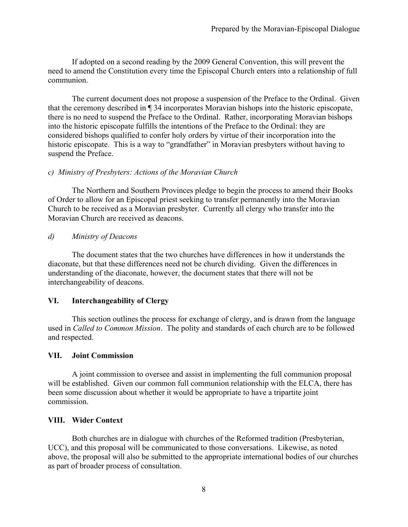If adopted on a second reading by the 2009 General Convention, this will prevent the need to amend the Constitution every time the Episcopal Church enters into a relationship of full communion.

The current document does not propose a suspension of the Preface to the Ordinal. Given that the ceremony described in ¶ 34 incorporates Moravian bishops into the historic episcopate, there is no need to suspend the Preface to the Ordinal. Rather, incorporating Moravian bishops into the historic episcopate fulfills the intentions of the Preface to the Ordinal: they are considered bishops qualified to confer holy orders by virtue of their incorporation into the historic episcopate. This is a way to "grandfather" in Moravian presbyters without having to suspend the Preface.

#### *c) Ministry of Presbyters: Actions of the Moravian Church*

The Northern and Southern Provinces pledge to begin the process to amend their Books of Order to allow for an Episcopal priest seeking to transfer permanently into the Moravian Church to be received as a Moravian presbyter. Currently all clergy who transfer into the Moravian Church are received as deacons.

*d) Ministry of Deacons*

The document states that the two churches have differences in how it understands the diaconate, but that these differences need not be church dividing. Given the differences in understanding of the diaconate, however, the document states that there will not be interchangeability of deacons.

## **VI. Interchangeability of Clergy**

This section outlines the process for exchange of clergy, and is drawn from the language used in *Called to Common Mission*. The polity and standards of each church are to be followed and respected.

## **VII. Joint Commission**

A joint commission to oversee and assist in implementing the full communion proposal will be established. Given our common full communion relationship with the ELCA, there has been some discussion about whether it would be appropriate to have a tripartite joint commission.

## **VIII. Wider Context**

Both churches are in dialogue with churches of the Reformed tradition (Presbyterian, UCC), and this proposal will be communicated to those conversations. Likewise, as noted above, the proposal will also be submitted to the appropriate international bodies of our churches as part of broader process of consultation.